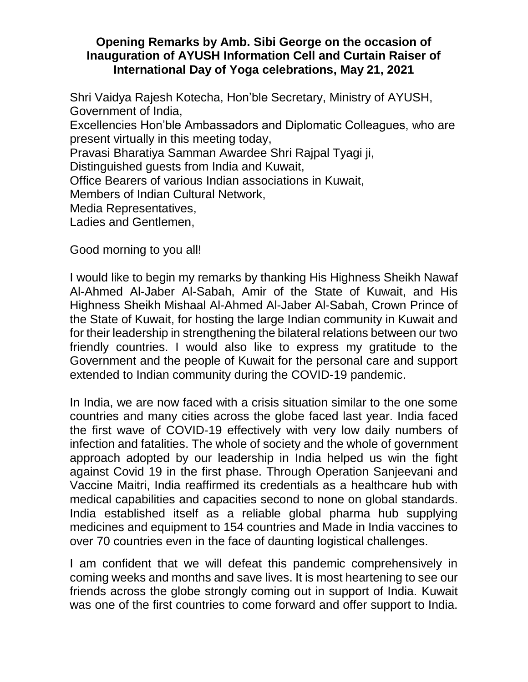## **Opening Remarks by Amb. Sibi George on the occasion of Inauguration of AYUSH Information Cell and Curtain Raiser of International Day of Yoga celebrations, May 21, 2021**

Shri Vaidya Rajesh Kotecha, Hon'ble Secretary, Ministry of AYUSH, Government of India, Excellencies Hon'ble Ambassadors and Diplomatic Colleagues, who are present virtually in this meeting today, Pravasi Bharatiya Samman Awardee Shri Rajpal Tyagi ji, Distinguished guests from India and Kuwait, Office Bearers of various Indian associations in Kuwait, Members of Indian Cultural Network, Media Representatives, Ladies and Gentlemen,

Good morning to you all!

I would like to begin my remarks by thanking His Highness Sheikh Nawaf Al-Ahmed Al-Jaber Al-Sabah, Amir of the State of Kuwait, and His Highness Sheikh Mishaal Al-Ahmed Al-Jaber Al-Sabah, Crown Prince of the State of Kuwait, for hosting the large Indian community in Kuwait and for their leadership in strengthening the bilateral relations between our two friendly countries. I would also like to express my gratitude to the Government and the people of Kuwait for the personal care and support extended to Indian community during the COVID-19 pandemic.

In India, we are now faced with a crisis situation similar to the one some countries and many cities across the globe faced last year. India faced the first wave of COVID-19 effectively with very low daily numbers of infection and fatalities. The whole of society and the whole of government approach adopted by our leadership in India helped us win the fight against Covid 19 in the first phase. Through Operation Sanjeevani and Vaccine Maitri, India reaffirmed its credentials as a healthcare hub with medical capabilities and capacities second to none on global standards. India established itself as a reliable global pharma hub supplying medicines and equipment to 154 countries and Made in India vaccines to over 70 countries even in the face of daunting logistical challenges.

I am confident that we will defeat this pandemic comprehensively in coming weeks and months and save lives. It is most heartening to see our friends across the globe strongly coming out in support of India. Kuwait was one of the first countries to come forward and offer support to India.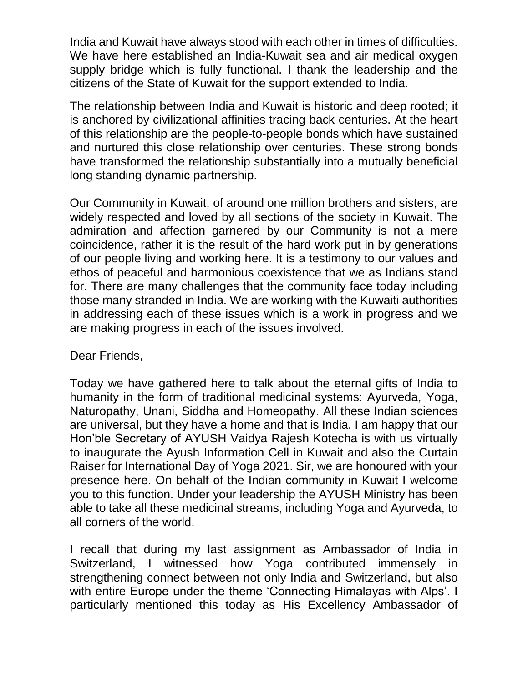India and Kuwait have always stood with each other in times of difficulties. We have here established an India-Kuwait sea and air medical oxygen supply bridge which is fully functional. I thank the leadership and the citizens of the State of Kuwait for the support extended to India.

The relationship between India and Kuwait is historic and deep rooted; it is anchored by civilizational affinities tracing back centuries. At the heart of this relationship are the people-to-people bonds which have sustained and nurtured this close relationship over centuries. These strong bonds have transformed the relationship substantially into a mutually beneficial long standing dynamic partnership.

Our Community in Kuwait, of around one million brothers and sisters, are widely respected and loved by all sections of the society in Kuwait. The admiration and affection garnered by our Community is not a mere coincidence, rather it is the result of the hard work put in by generations of our people living and working here. It is a testimony to our values and ethos of peaceful and harmonious coexistence that we as Indians stand for. There are many challenges that the community face today including those many stranded in India. We are working with the Kuwaiti authorities in addressing each of these issues which is a work in progress and we are making progress in each of the issues involved.

Dear Friends,

Today we have gathered here to talk about the eternal gifts of India to humanity in the form of traditional medicinal systems: Ayurveda, Yoga, Naturopathy, Unani, Siddha and Homeopathy. All these Indian sciences are universal, but they have a home and that is India. I am happy that our Hon'ble Secretary of AYUSH Vaidya Rajesh Kotecha is with us virtually to inaugurate the Ayush Information Cell in Kuwait and also the Curtain Raiser for International Day of Yoga 2021. Sir, we are honoured with your presence here. On behalf of the Indian community in Kuwait I welcome you to this function. Under your leadership the AYUSH Ministry has been able to take all these medicinal streams, including Yoga and Ayurveda, to all corners of the world.

I recall that during my last assignment as Ambassador of India in Switzerland, I witnessed how Yoga contributed immensely in strengthening connect between not only India and Switzerland, but also with entire Europe under the theme 'Connecting Himalayas with Alps'. I particularly mentioned this today as His Excellency Ambassador of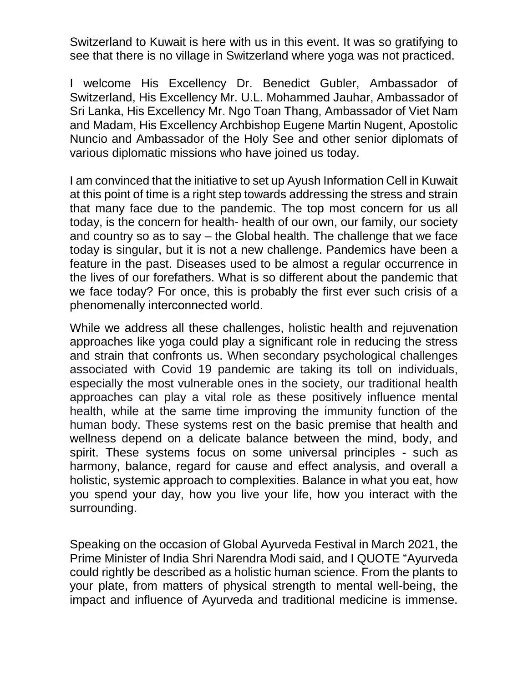Switzerland to Kuwait is here with us in this event. It was so gratifying to see that there is no village in Switzerland where yoga was not practiced.

I welcome His Excellency Dr. Benedict Gubler, Ambassador of Switzerland, His Excellency Mr. U.L. Mohammed Jauhar, Ambassador of Sri Lanka, His Excellency Mr. Ngo Toan Thang, Ambassador of Viet Nam and Madam, His Excellency Archbishop Eugene Martin Nugent, Apostolic Nuncio and Ambassador of the Holy See and other senior diplomats of various diplomatic missions who have joined us today.

I am convinced that the initiative to set up Ayush Information Cell in Kuwait at this point of time is a right step towards addressing the stress and strain that many face due to the pandemic. The top most concern for us all today, is the concern for health- health of our own, our family, our society and country so as to say – the Global health. The challenge that we face today is singular, but it is not a new challenge. Pandemics have been a feature in the past. Diseases used to be almost a regular occurrence in the lives of our forefathers. What is so different about the pandemic that we face today? For once, this is probably the first ever such crisis of a phenomenally interconnected world.

While we address all these challenges, holistic health and rejuvenation approaches like yoga could play a significant role in reducing the stress and strain that confronts us. When secondary psychological challenges associated with Covid 19 pandemic are taking its toll on individuals, especially the most vulnerable ones in the society, our traditional health approaches can play a vital role as these positively influence mental health, while at the same time improving the immunity function of the human body. These systems rest on the basic premise that health and wellness depend on a delicate balance between the mind, body, and spirit. These systems focus on some universal principles - such as harmony, balance, regard for cause and effect analysis, and overall a holistic, systemic approach to complexities. Balance in what you eat, how you spend your day, how you live your life, how you interact with the surrounding.

Speaking on the occasion of Global Ayurveda Festival in March 2021, the Prime Minister of India Shri Narendra Modi said, and I QUOTE "Ayurveda could rightly be described as a holistic human science. From the plants to your plate, from matters of physical strength to mental well-being, the impact and influence of Ayurveda and traditional medicine is immense.